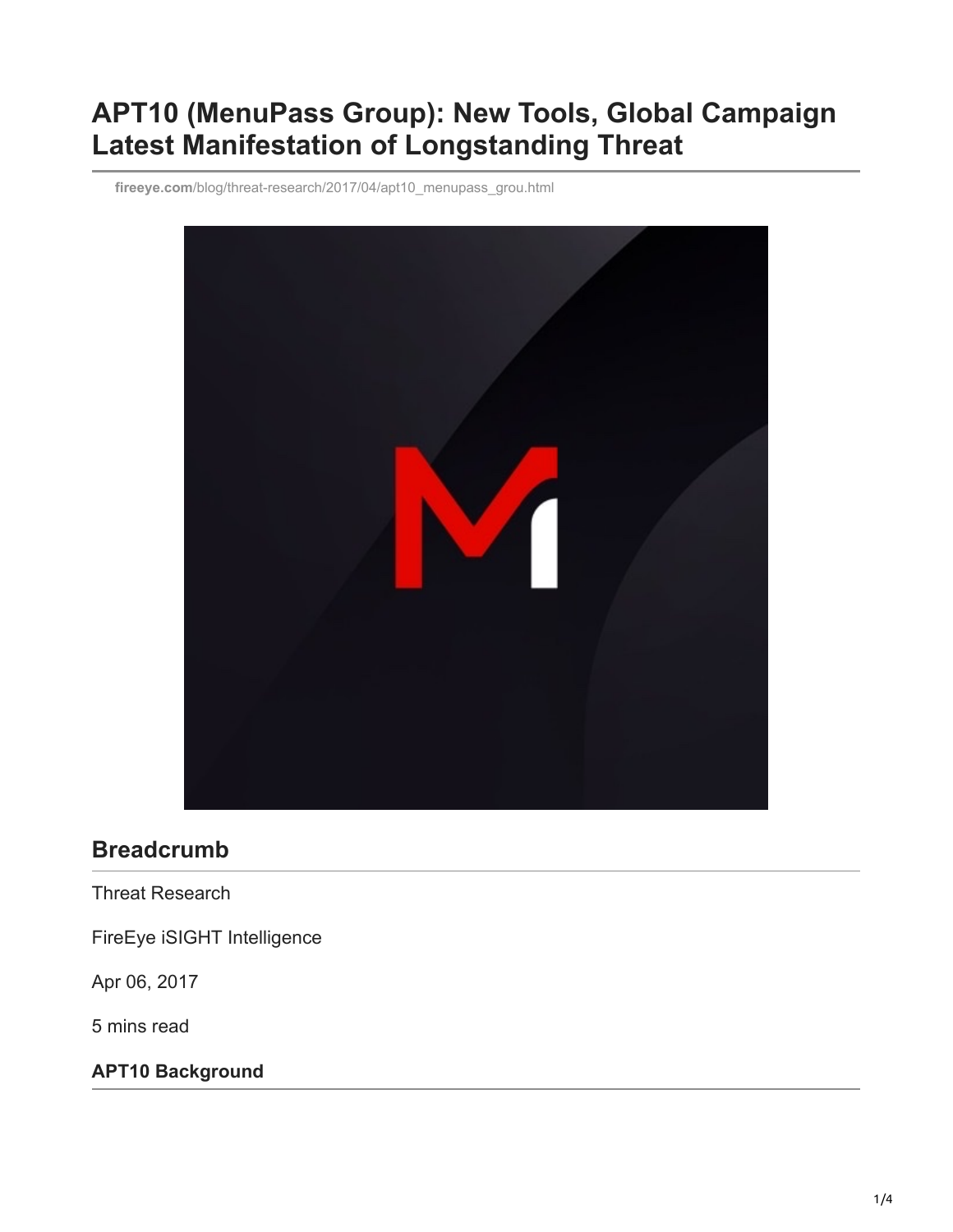# **APT10 (MenuPass Group): New Tools, Global Campaign Latest Manifestation of Longstanding Threat**

**fireeye.com**[/blog/threat-research/2017/04/apt10\\_menupass\\_grou.html](https://www.fireeye.com/blog/threat-research/2017/04/apt10_menupass_grou.html)



## **Breadcrumb**

Threat Research

FireEye iSIGHT Intelligence

Apr 06, 2017

5 mins read

**APT10 Background**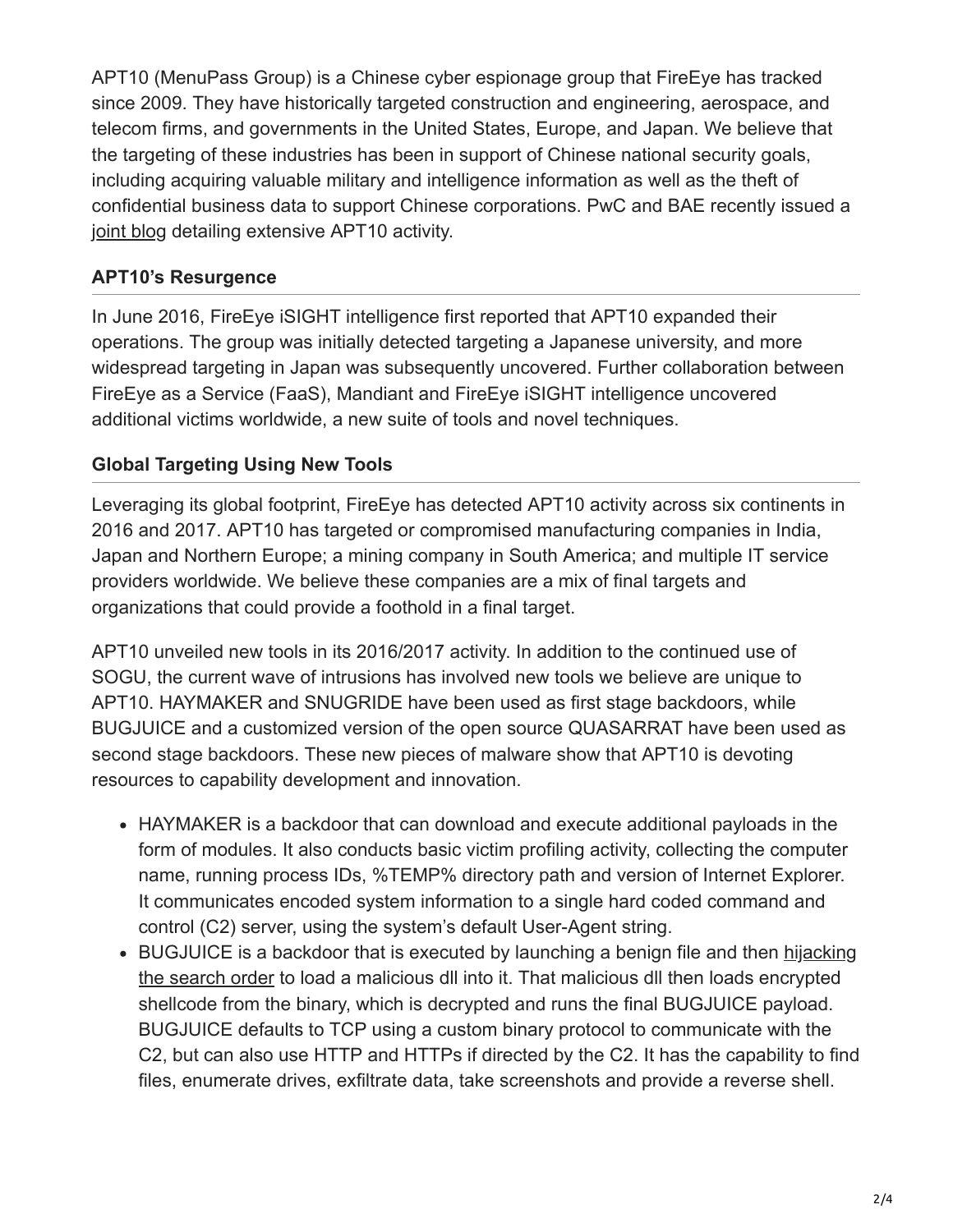APT10 (MenuPass Group) is a Chinese cyber espionage group that FireEye has tracked since 2009. They have historically targeted construction and engineering, aerospace, and telecom firms, and governments in the United States, Europe, and Japan. We believe that the targeting of these industries has been in support of Chinese national security goals, including acquiring valuable military and intelligence information as well as the theft of confidential business data to support Chinese corporations. PwC and BAE recently issued a [joint blog](https://baesystemsai.blogspot.com/2017/04/apt10-operation-cloud-hopper_3.html) detailing extensive APT10 activity.

#### **APT10's Resurgence**

In June 2016, FireEye iSIGHT intelligence first reported that APT10 expanded their operations. The group was initially detected targeting a Japanese university, and more widespread targeting in Japan was subsequently uncovered. Further collaboration between FireEye as a Service (FaaS), Mandiant and FireEye iSIGHT intelligence uncovered additional victims worldwide, a new suite of tools and novel techniques.

## **Global Targeting Using New Tools**

Leveraging its global footprint, FireEye has detected APT10 activity across six continents in 2016 and 2017. APT10 has targeted or compromised manufacturing companies in India, Japan and Northern Europe; a mining company in South America; and multiple IT service providers worldwide. We believe these companies are a mix of final targets and organizations that could provide a foothold in a final target.

APT10 unveiled new tools in its 2016/2017 activity. In addition to the continued use of SOGU, the current wave of intrusions has involved new tools we believe are unique to APT10. HAYMAKER and SNUGRIDE have been used as first stage backdoors, while BUGJUICE and a customized version of the open source QUASARRAT have been used as second stage backdoors. These new pieces of malware show that APT10 is devoting resources to capability development and innovation.

- HAYMAKER is a backdoor that can download and execute additional payloads in the form of modules. It also conducts basic victim profiling activity, collecting the computer name, running process IDs, %TEMP% directory path and version of Internet Explorer. It communicates encoded system information to a single hard coded command and control (C2) server, using the system's default User-Agent string.
- [BUGJUICE is a backdoor that is executed by launching a benign file and then hijacking](https://www.fireeye.com/resources/malware-persistence-without-windows-registry) the search order to load a malicious dll into it. That malicious dll then loads encrypted shellcode from the binary, which is decrypted and runs the final BUGJUICE payload. BUGJUICE defaults to TCP using a custom binary protocol to communicate with the C2, but can also use HTTP and HTTPs if directed by the C2. It has the capability to find files, enumerate drives, exfiltrate data, take screenshots and provide a reverse shell.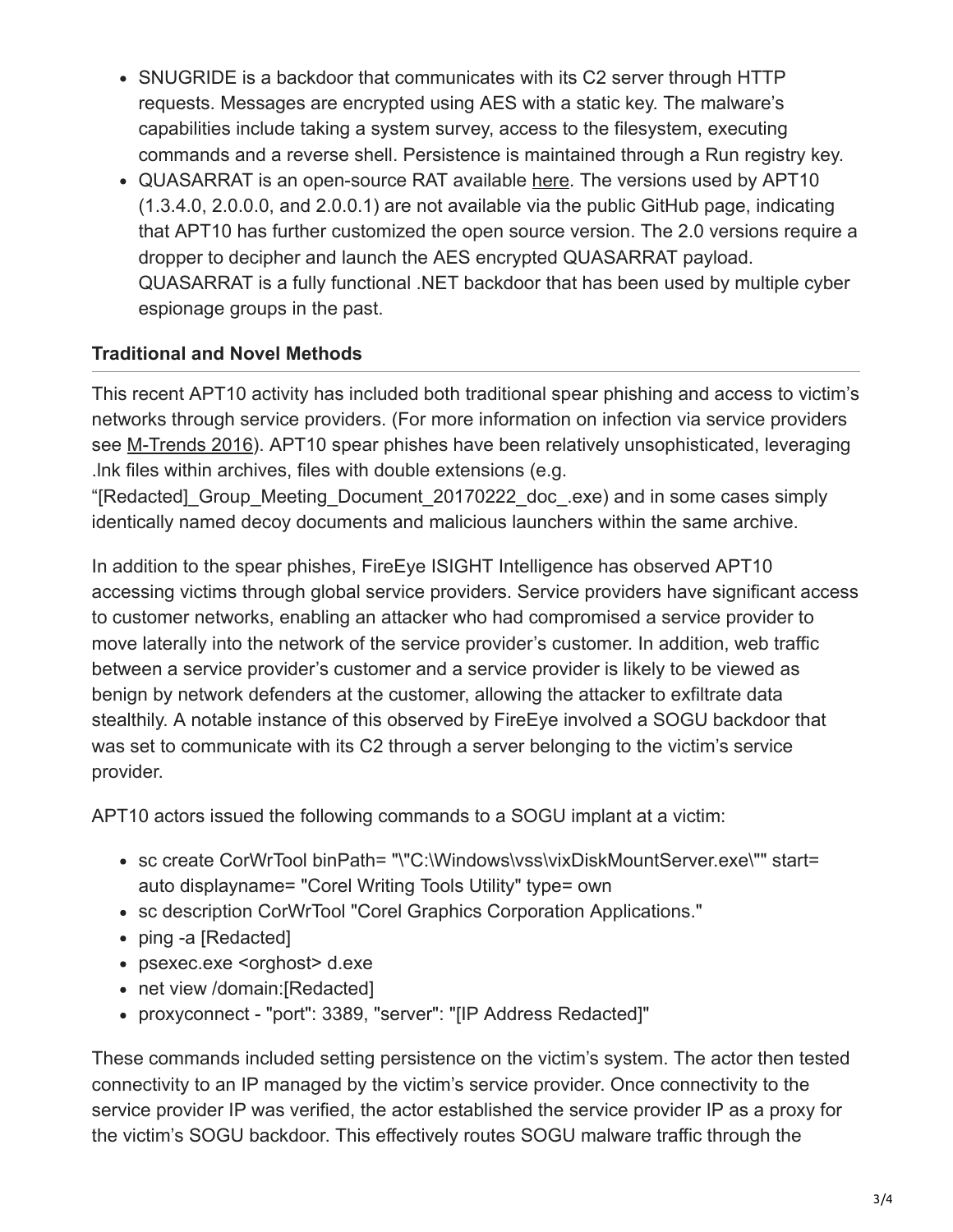- SNUGRIDE is a backdoor that communicates with its C2 server through HTTP requests. Messages are encrypted using AES with a static key. The malware's capabilities include taking a system survey, access to the filesystem, executing commands and a reverse shell. Persistence is maintained through a Run registry key.
- QUASARRAT is an open-source RAT available [here.](https://github.com/quasar/Quasar) The versions used by APT10 (1.3.4.0, 2.0.0.0, and 2.0.0.1) are not available via the public GitHub page, indicating that APT10 has further customized the open source version. The 2.0 versions require a dropper to decipher and launch the AES encrypted QUASARRAT payload. QUASARRAT is a fully functional .NET backdoor that has been used by multiple cyber espionage groups in the past.

## **Traditional and Novel Methods**

This recent APT10 activity has included both traditional spear phishing and access to victim's networks through service providers. (For more information on infection via service providers see [M-Trends 2016\)](https://www.fireeye.com/blog/executive-perspective/2016/02/m-trends_2016.html). APT10 spear phishes have been relatively unsophisticated, leveraging .lnk files within archives, files with double extensions (e.g.

"[Redacted]\_Group\_Meeting\_Document\_20170222\_doc\_.exe) and in some cases simply identically named decoy documents and malicious launchers within the same archive.

In addition to the spear phishes, FireEye ISIGHT Intelligence has observed APT10 accessing victims through global service providers. Service providers have significant access to customer networks, enabling an attacker who had compromised a service provider to move laterally into the network of the service provider's customer. In addition, web traffic between a service provider's customer and a service provider is likely to be viewed as benign by network defenders at the customer, allowing the attacker to exfiltrate data stealthily. A notable instance of this observed by FireEye involved a SOGU backdoor that was set to communicate with its C2 through a server belonging to the victim's service provider.

APT10 actors issued the following commands to a SOGU implant at a victim:

- sc create CorWrTool binPath= "\"C:\Windows\vss\vixDiskMountServer.exe\"" start= auto displayname= "Corel Writing Tools Utility" type= own
- sc description CorWrTool "Corel Graphics Corporation Applications."
- ping -a [Redacted]
- psexec.exe <orghost> d.exe
- net view /domain: [Redacted]
- proxyconnect "port": 3389, "server": "[IP Address Redacted]"

These commands included setting persistence on the victim's system. The actor then tested connectivity to an IP managed by the victim's service provider. Once connectivity to the service provider IP was verified, the actor established the service provider IP as a proxy for the victim's SOGU backdoor. This effectively routes SOGU malware traffic through the